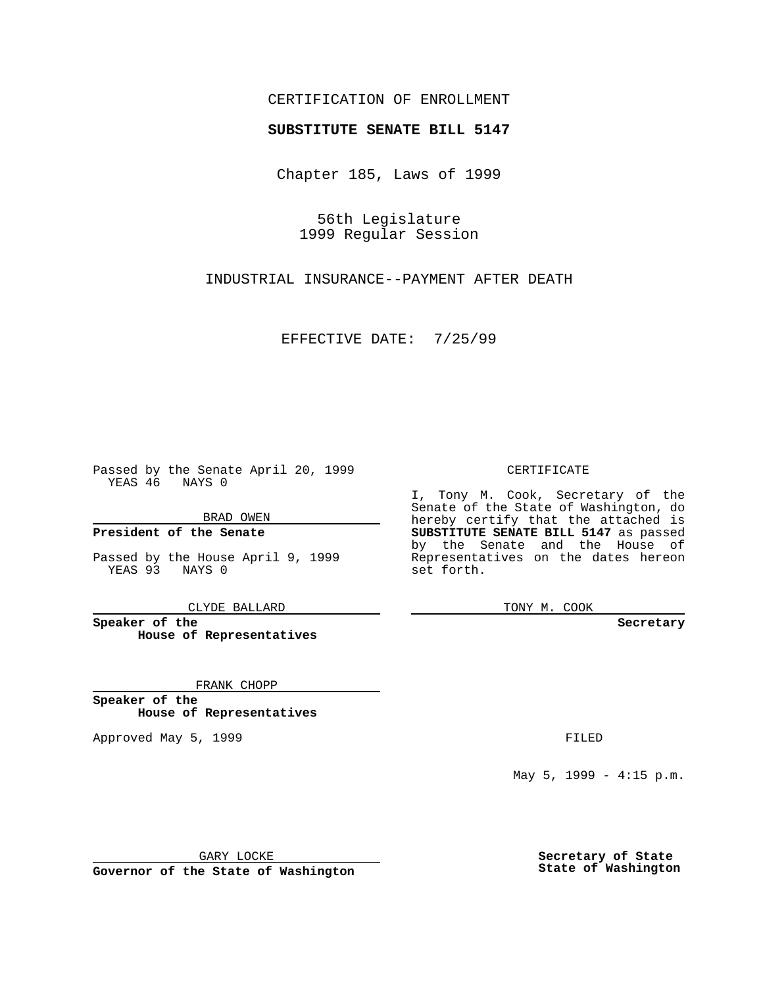## CERTIFICATION OF ENROLLMENT

# **SUBSTITUTE SENATE BILL 5147**

Chapter 185, Laws of 1999

56th Legislature 1999 Regular Session

INDUSTRIAL INSURANCE--PAYMENT AFTER DEATH

EFFECTIVE DATE: 7/25/99

Passed by the Senate April 20, 1999 YEAS 46 NAYS 0

BRAD OWEN

**President of the Senate**

Passed by the House April 9, 1999 YEAS 93 NAYS 0

CLYDE BALLARD

**Speaker of the House of Representatives**

FRANK CHOPP

**Speaker of the House of Representatives**

Approved May 5, 1999 **FILED** 

### CERTIFICATE

I, Tony M. Cook, Secretary of the Senate of the State of Washington, do hereby certify that the attached is **SUBSTITUTE SENATE BILL 5147** as passed by the Senate and the House of Representatives on the dates hereon set forth.

TONY M. COOK

#### **Secretary**

May 5, 1999 - 4:15 p.m.

GARY LOCKE

**Governor of the State of Washington**

**Secretary of State State of Washington**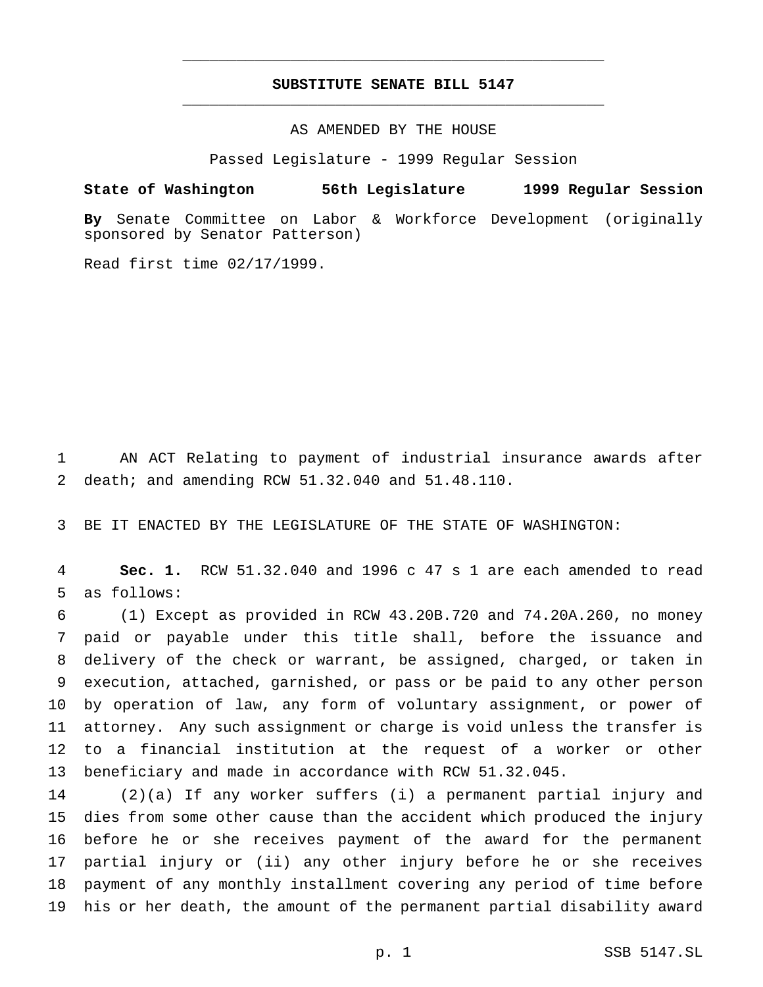## **SUBSTITUTE SENATE BILL 5147** \_\_\_\_\_\_\_\_\_\_\_\_\_\_\_\_\_\_\_\_\_\_\_\_\_\_\_\_\_\_\_\_\_\_\_\_\_\_\_\_\_\_\_\_\_\_\_

\_\_\_\_\_\_\_\_\_\_\_\_\_\_\_\_\_\_\_\_\_\_\_\_\_\_\_\_\_\_\_\_\_\_\_\_\_\_\_\_\_\_\_\_\_\_\_

## AS AMENDED BY THE HOUSE

Passed Legislature - 1999 Regular Session

## **State of Washington 56th Legislature 1999 Regular Session**

**By** Senate Committee on Labor & Workforce Development (originally sponsored by Senator Patterson)

Read first time 02/17/1999.

 AN ACT Relating to payment of industrial insurance awards after death; and amending RCW 51.32.040 and 51.48.110.

BE IT ENACTED BY THE LEGISLATURE OF THE STATE OF WASHINGTON:

 **Sec. 1.** RCW 51.32.040 and 1996 c 47 s 1 are each amended to read as follows:

 (1) Except as provided in RCW 43.20B.720 and 74.20A.260, no money paid or payable under this title shall, before the issuance and delivery of the check or warrant, be assigned, charged, or taken in execution, attached, garnished, or pass or be paid to any other person by operation of law, any form of voluntary assignment, or power of attorney. Any such assignment or charge is void unless the transfer is to a financial institution at the request of a worker or other beneficiary and made in accordance with RCW 51.32.045.

 (2)(a) If any worker suffers (i) a permanent partial injury and dies from some other cause than the accident which produced the injury before he or she receives payment of the award for the permanent partial injury or (ii) any other injury before he or she receives payment of any monthly installment covering any period of time before his or her death, the amount of the permanent partial disability award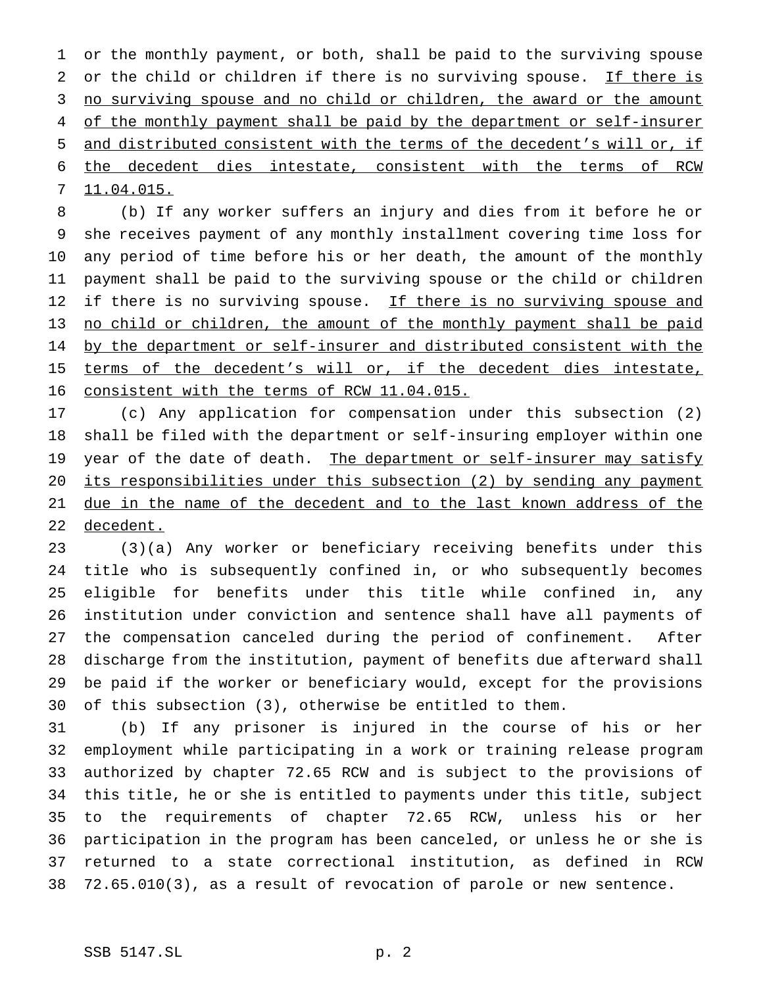or the monthly payment, or both, shall be paid to the surviving spouse 2 or the child or children if there is no surviving spouse. If there is 3 no surviving spouse and no child or children, the award or the amount 4 of the monthly payment shall be paid by the department or self-insurer and distributed consistent with the terms of the decedent's will or, if the decedent dies intestate, consistent with the terms of RCW 11.04.015.

 (b) If any worker suffers an injury and dies from it before he or she receives payment of any monthly installment covering time loss for any period of time before his or her death, the amount of the monthly payment shall be paid to the surviving spouse or the child or children 12 if there is no surviving spouse. If there is no surviving spouse and no child or children, the amount of the monthly payment shall be paid 14 by the department or self-insurer and distributed consistent with the 15 terms of the decedent's will or, if the decedent dies intestate, consistent with the terms of RCW 11.04.015.

 (c) Any application for compensation under this subsection (2) shall be filed with the department or self-insuring employer within one 19 year of the date of death. The department or self-insurer may satisfy its responsibilities under this subsection (2) by sending any payment 21 due in the name of the decedent and to the last known address of the decedent.

 (3)(a) Any worker or beneficiary receiving benefits under this title who is subsequently confined in, or who subsequently becomes eligible for benefits under this title while confined in, any institution under conviction and sentence shall have all payments of the compensation canceled during the period of confinement. After discharge from the institution, payment of benefits due afterward shall be paid if the worker or beneficiary would, except for the provisions of this subsection (3), otherwise be entitled to them.

 (b) If any prisoner is injured in the course of his or her employment while participating in a work or training release program authorized by chapter 72.65 RCW and is subject to the provisions of this title, he or she is entitled to payments under this title, subject to the requirements of chapter 72.65 RCW, unless his or her participation in the program has been canceled, or unless he or she is returned to a state correctional institution, as defined in RCW 72.65.010(3), as a result of revocation of parole or new sentence.